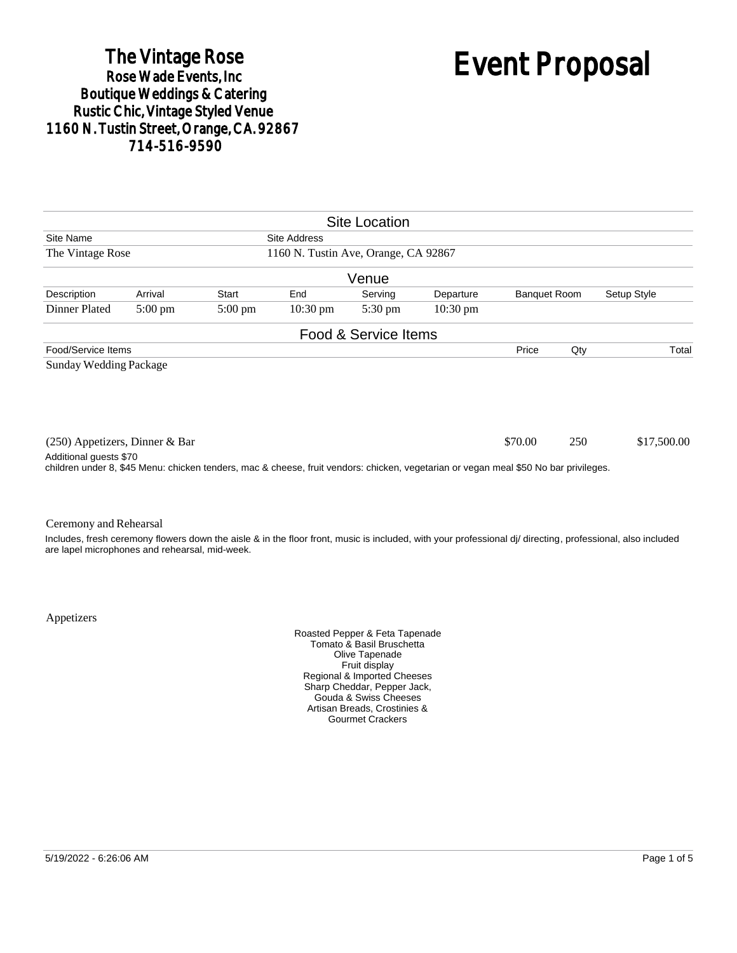# The Vintage Rose<br>Rose Wade Events, Inc. Boutique Weddings & Catering<br>Rustic Chic, Vintage Styled Venue 1160 N. Tustin Street, Orange, CA. 92867 714-516-9590

# Event Proposal

|                                                                                                                                                                |                   |                   |                    | <b>Site Location</b> |                    |                     |     |                                                                                                                                                            |
|----------------------------------------------------------------------------------------------------------------------------------------------------------------|-------------------|-------------------|--------------------|----------------------|--------------------|---------------------|-----|------------------------------------------------------------------------------------------------------------------------------------------------------------|
| Site Name<br>Site Address                                                                                                                                      |                   |                   |                    |                      |                    |                     |     |                                                                                                                                                            |
| The Vintage Rose<br>1160 N. Tustin Ave, Orange, CA 92867                                                                                                       |                   |                   |                    |                      |                    |                     |     |                                                                                                                                                            |
|                                                                                                                                                                |                   |                   |                    | Venue                |                    |                     |     |                                                                                                                                                            |
| Description                                                                                                                                                    | Arrival           | <b>Start</b>      | End                | Serving              | Departure          | <b>Banquet Room</b> |     | Setup Style                                                                                                                                                |
| Dinner Plated                                                                                                                                                  | $5:00 \text{ pm}$ | $5:00 \text{ pm}$ | $10:30 \text{ pm}$ | $5:30 \text{ pm}$    | $10:30 \text{ pm}$ |                     |     |                                                                                                                                                            |
|                                                                                                                                                                |                   |                   |                    | Food & Service Items |                    |                     |     |                                                                                                                                                            |
| Food/Service Items                                                                                                                                             |                   |                   |                    |                      |                    | Price               | Qty | Total                                                                                                                                                      |
| $(250)$ Appetizers, Dinner & Bar                                                                                                                               |                   |                   |                    |                      |                    | \$70.00             | 250 | \$17,500.00                                                                                                                                                |
| Additional guests \$70<br>children under 8, \$45 Menu: chicken tenders, mac & cheese, fruit vendors: chicken, vegetarian or vegan meal \$50 No bar privileges. |                   |                   |                    |                      |                    |                     |     |                                                                                                                                                            |
| Ceremony and Rehearsal                                                                                                                                         |                   |                   |                    |                      |                    |                     |     |                                                                                                                                                            |
| are lapel microphones and rehearsal, mid-week.                                                                                                                 |                   |                   |                    |                      |                    |                     |     | Includes, fresh ceremony flowers down the aisle & in the floor front, music is included, with your professional di/ directing, professional, also included |

Appetizers

Roasted Pepper & Feta Tapenade Tomato & Basil Bruschetta Olive Tapenade Fruit display Regional & Imported Cheeses Sharp Cheddar, Pepper Jack, Gouda & Swiss Cheeses Artisan Breads, Crostinies & Gourmet Crackers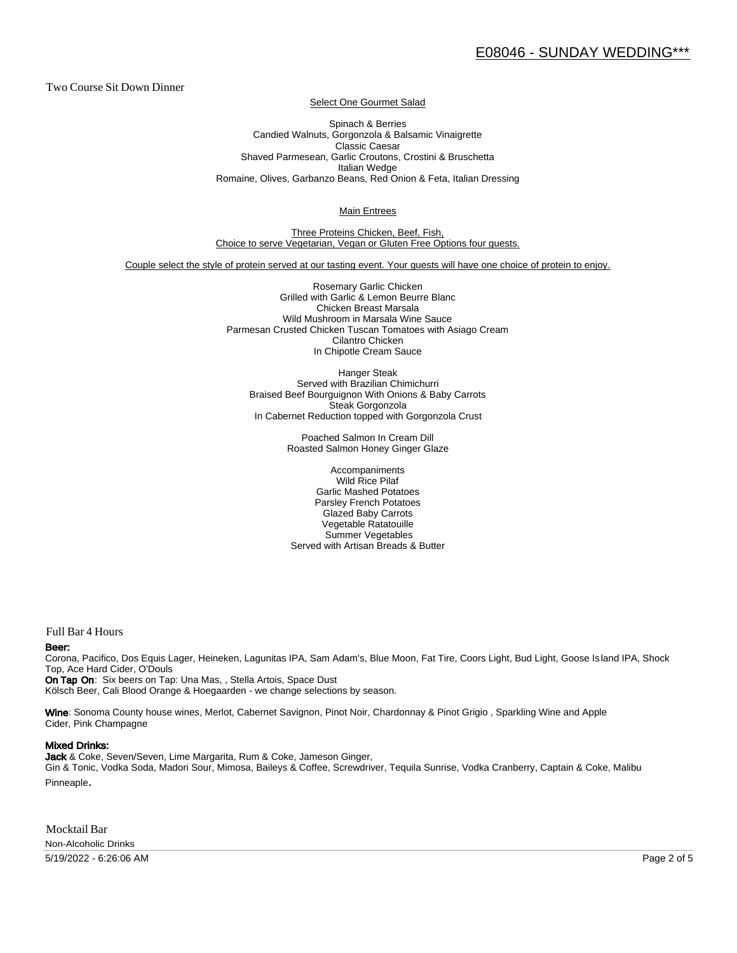Two Course Sit Down Dinner

Select One Gourmet Salad

Spinach & Berries Candied Walnuts, Gorgonzola & Balsamic Vinaigrette Classic Caesar Shaved Parmesean, Garlic Croutons, Crostini & Bruschetta Italian Wedge Romaine, Olives, Garbanzo Beans, Red Onion & Feta, Italian Dressing

Main Entrees

Three Proteins Chicken, Beef, Fish, Choice to serve Vegetarian, Vegan or Gluten Free Options four guests.

Couple select the style of protein served at our tasting event. Your guests will have one choice of protein to enjoy.

Rosemary Garlic Chicken Grilled with Garlic & Lemon Beurre Blanc Chicken Breast Marsala Wild Mushroom in Marsala Wine Sauce Parmesan Crusted Chicken Tuscan Tomatoes with Asiago Cream Cilantro Chicken In Chipotle Cream Sauce

Hanger Steak Served with Brazilian Chimichurri Braised Beef Bourguignon With Onions & Baby Carrots Steak Gorgonzola In Cabernet Reduction topped with Gorgonzola Crust

> Poached Salmon In Cream Dill Roasted Salmon Honey Ginger Glaze

Accompaniments Wild Rice Pilaf Garlic Mashed Potatoes Parsley French Potatoes Glazed Baby Carrots Vegetable Ratatouille Summer Vegetables Served with Artisan Breads & Butter

Full Bar 4 Hours

#### Beer:

Corona, Pacifico, Dos Equis Lager, Heineken, Lagunitas IPA, Sam Adam's, Blue Moon, Fat Tire, Coors Light, Bud Light, Goose Is land IPA, Shock Top, Ace Hard Cider, O'Douls

On Tap On: Six beers on Tap: Una Mas, , Stella Artois, Space Dust Kölsch Beer, Cali Blood Orange & Hoegaarden - we change selections by season.

Wine: Sonoma County house wines, Merlot, Cabernet Savignon, Pinot Noir, Chardonnay & Pinot Grigio, Sparkling Wine and Apple Cider, Pink Champagne

#### Mixed Drinks:

Jack & Coke, Seven/Seven, Lime Margarita, Rum & Coke, Jameson Ginger, Gin & Tonic, Vodka Soda, Madori Sour, Mimosa, Baileys & Coffee, Screwdriver, Tequila Sunrise, Vodka Cranberry, Captain & Coke, Malibu Pinneaple.

Mocktail Bar Non-Alcoholic Drinks

5/19/2022 - 6:26:06 AM Page 2 of 5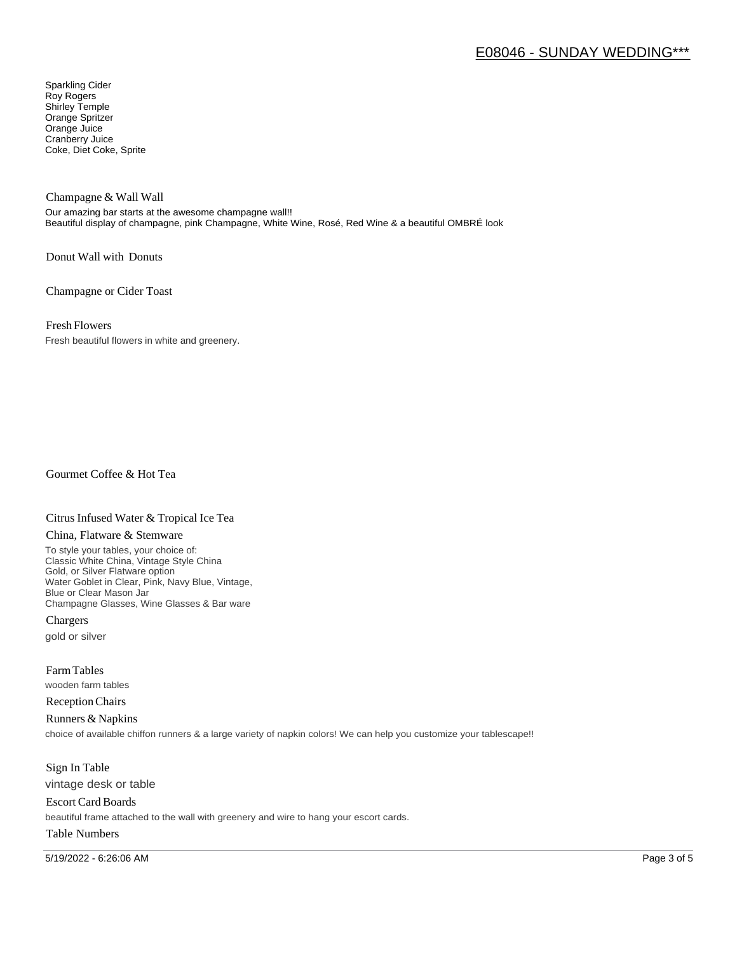# E08046 - SUNDAY WEDDING\*\*\*

Sparkling Cider Roy Rogers Shirley Temple Orange Spritzer Orange Juice Cranberry Juice Coke, Diet Coke, Sprite

Champagne & Wall Wall

Our amazing bar starts at the awesome champagne wall!! Beautiful display of champagne, pink Champagne, White Wine, Rosé, Red Wine & a beautiful OMBRÉ look

Donut Wall with Donuts

Champagne or Cider Toast

Fresh Flowers

Fresh beautiful flowers in white and greenery.

Gourmet Coffee & Hot Tea

#### Citrus Infused Water & Tropical Ice Tea

#### China, Flatware & Stemware

To style your tables, your choice of: Classic White China, Vintage Style China Gold, or Silver Flatware option Water Goblet in Clear, Pink, Navy Blue, Vintage, Blue or Clear Mason Jar Champagne Glasses, Wine Glasses & Bar ware

Chargers gold or silver

Farm Tables wooden farm tables

Reception Chairs

Runners & Napkins choice of available chiffon runners & a large variety of napkin colors! We can help you customize your tablescape!!

Sign In Table vintage desk or table

Escort Card Boards beautiful frame attached to the wall with greenery and wire to hang your escort cards.

### Table Numbers

5/19/2022 - 6:26:06 AM Page 3 of 5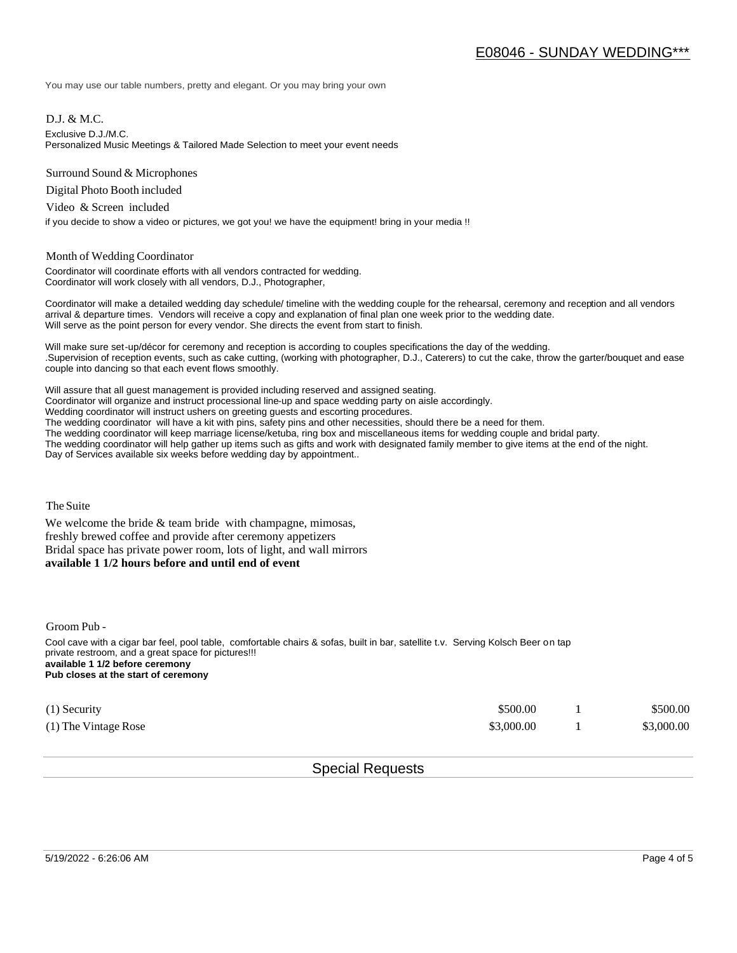You may use our table numbers, pretty and elegant. Or you may bring your own

D.J. & M.C.

Exclusive D.J./M.C.

Personalized Music Meetings & Tailored Made Selection to meet your event needs

Surround Sound & Microphones

Digital Photo Booth included

Video & Screen included

if you decide to show a video or pictures, we got you! we have the equipment! bring in your media !!

#### Month of Wedding Coordinator

Coordinator will coordinate efforts with all vendors contracted for wedding. Coordinator will work closely with all vendors, D.J., Photographer,

Coordinator will make a detailed wedding day schedule/ timeline with the wedding couple for the rehearsal, ceremony and reception and all vendors arrival & departure times. Vendors will receive a copy and explanation of final plan one week prior to the wedding date. Will serve as the point person for every vendor. She directs the event from start to finish.

Will make sure set-up/décor for ceremony and reception is according to couples specifications the day of the wedding. .Supervision of reception events, such as cake cutting, (working with photographer, D.J., Caterers) to cut the cake, throw the garter/bouquet and ease couple into dancing so that each event flows smoothly.

Will assure that all guest management is provided including reserved and assigned seating. Coordinator will organize and instruct processional line-up and space wedding party on aisle accordingly. Wedding coordinator will instruct ushers on greeting guests and escorting procedures. The wedding coordinator will have a kit with pins, safety pins and other necessities, should there be a need for them. The wedding coordinator will keep marriage license/ketuba, ring box and miscellaneous items for wedding couple and bridal party. The wedding coordinator will help gather up items such as gifts and work with designated family member to give items at the end of the night. Day of Services available six weeks before wedding day by appointment..

The Suite

We welcome the bride  $&$  team bride with champagne, mimosas, freshly brewed coffee and provide after ceremony appetizers Bridal space has private power room, lots of light, and wall mirrors **available 1 1/2 hours before and until end of event** 

Groom Pub -

Cool cave with a cigar bar feel, pool table, comfortable chairs & sofas, built in bar, satellite t.v. Serving Kolsch Beer on tap private restroom, and a great space for pictures!!! **available 1 1/2 before ceremony Pub closes at the start of ceremony**

| $(1)$ Security       | \$500.00   | \$500.00   |
|----------------------|------------|------------|
| (1) The Vintage Rose | \$3,000.00 | \$3,000.00 |

## Special Requests